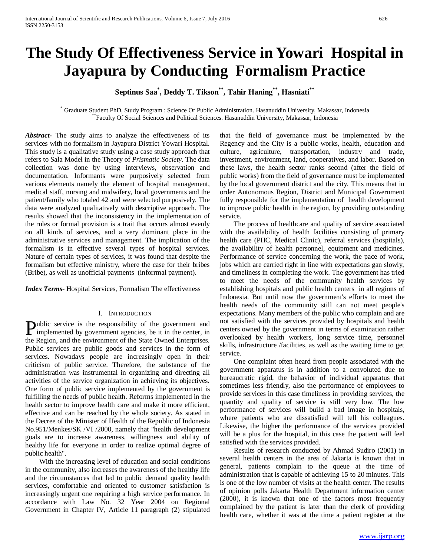# **The Study Of Effectiveness Service in Yowari Hospital in Jayapura by Conducting Formalism Practice**

# **Septinus Saa\* , Deddy T. Tikson\*\*, Tahir Haning\*\*, Hasniati\*\***

\* Graduate Student PhD, Study Program : Science Of Public Administration. Hasanuddin University, Makassar, Indonesia \*\*Faculty Of Social Sciences and Political Sciences. Hasanuddin University, Makassar, Indonesia

*Abstract***-** The study aims to analyze the effectiveness of its services with no formalism in Jayapura District Yowari Hospital. This study is a qualitative study using a case study approach that refers to Sala Model in the Theory of *Prismatic Society.* The data collection was done by using interviews, observation and documentation. Informants were purposively selected from various elements namely the element of hospital management, medical staff, nursing and midwifery, local governments and the patient/family who totaled 42 and were selected purposively. The data were analyzed qualitatively with descriptive approach. The results showed that the inconsistency in the implementation of the rules or formal provision is a trait that occurs almost evenly on all kinds of services, and a very dominant place in the administrative services and management. The implication of the formalism is in effective several types of hospital services. Nature of certain types of services, it was found that despite the formalism but effective ministry, where the case for their bribes (Bribe), as well as unofficial payments (inforrmal payment).

*Index Terms*- Hospital Services, Formalism The effectiveness

#### I. INTRODUCTION

ublic service is the responsibility of the government and **Public service is the responsibility of the government and implemented by government agencies, be it in the center, in** the Region, and the environment of the State Owned Enterprises. Public services are public goods and services in the form of services. Nowadays people are increasingly open in their criticism of public service. Therefore, the substance of the administration was instrumental in organizing and directing all activities of the service organization in achieving its objectives. One form of public service implemented by the government is fulfilling the needs of public health. Reforms implemented in the health sector to improve health care and make it more efficient, effective and can be reached by the whole society. As stated in the Decree of the Minister of Health of the Republic of Indonesia No.951/Menkes/SK /VI /2000, namely that "health development goals are to increase awareness, willingness and ability of healthy life for everyone in order to realize optimal degree of public health".

 With the increasing level of education and social conditions in the community, also increases the awareness of the healthy life and the circumstances that led to public demand quality health services, comfortable and oriented to customer satisfaction is increasingly urgent one requiring a high service performance. In accordance with Law No. 32 Year 2004 on Regional Government in Chapter IV, Article 11 paragraph (2) stipulated that the field of governance must be implemented by the Regency and the City is a public works, health, education and culture, agriculture, transportation, industry and trade, investment, environment, land, cooperatives, and labor. Based on these laws, the health sector ranks second (after the field of public works) from the field of governance must be implemented by the local government district and the city. This means that in order Autonomous Region, District and Municipal Government fully responsible for the implementation of health development to improve public health in the region, by providing outstanding service.

 The process of healthcare and quality of service associated with the availability of health facilities consisting of primary health care (PHC, Medical Clinic), referral services (hospitals), the availability of health personnel, equipment and medicines. Performance of service concerning the work, the pace of work, jobs which are carried right in line with expectations gan slowly, and timeliness in completing the work. The government has tried to meet the needs of the community health services by establishing hospitals and public health centers in all regions of Indonesia. But until now the government's efforts to meet the health needs of the community still can not meet people's expectations. Many members of the public who complain and are not satisfied with the services provided by hospitals and health centers owned by the government in terms of examination rather overlooked by health workers, long service time, personnel skills, infrastructure /facilities, as well as the waiting time to get service.

 One complaint often heard from people associated with the government apparatus is in addition to a convoluted due to bureaucratic rigid, the behavior of individual apparatus that sometimes less friendly, also the performance of employees to provide services in this case timeliness in providing services, the quantity and quality of service is still very low. The low performance of services will build a bad image in hospitals, where patients who are dissatisfied will tell his colleagues. Likewise, the higher the performance of the services provided will be a plus for the hospital, in this case the patient will feel satisfied with the services provided.

 Results of research conducted by Ahmad Sudiro (2001) in several health centers in the area of Jakarta is known that in general, patients complain to the queue at the time of administration that is capable of achieving 15 to 20 minutes. This is one of the low number of visits at the health center. The results of opinion polls Jakarta Health Department information center (2000), it is known that one of the factors most frequently complained by the patient is later than the clerk of providing health care, whether it was at the time a patient register at the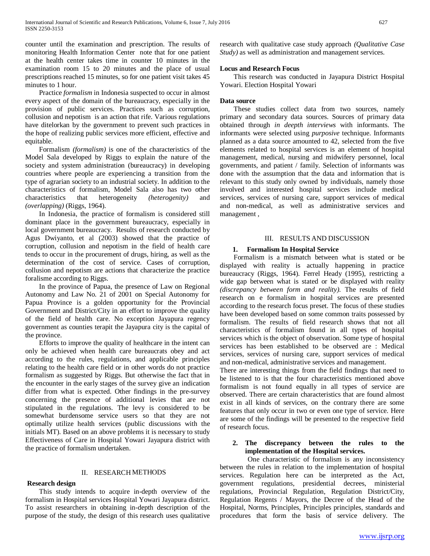counter until the examination and prescription. The results of monitoring Health Information Center note that for one patient at the health center takes time in counter 10 minutes in the examination room 15 to 20 minutes and the place of usual prescriptions reached 15 minutes, so for one patient visit takes 45 minutes to 1 hour.

 Practice *formalism* in Indonesia suspected to occur in almost every aspect of the domain of the bureaucracy, especially in the provision of public services. Practices such as corruption, collusion and nepotism is an action that rife. Various regulations have ditelorkan by the government to prevent such practices in the hope of realizing public services more efficient, effective and equitable.

 Formalism *(formalism)* is one of the characteristics of the Model Sala developed by Riggs to explain the nature of the society and system administration (bureaucracy) in developing countries where people are experiencing a transition from the type of agrarian society to an industrial society. In addition to the characteristics of formalism, Model Sala also has two other characteristics that heterogeneity *(heterogenity)* and *(overlapping)* (Riggs, 1964).

 In Indonesia, the practice of formalism is considered still dominant place in the government bureaucracy, especially in local government bureaucracy. Results of research conducted by Agus Dwiyanto, et al (2003) showed that the practice of corruption, collusion and nepotism in the field of health care tends to occur in the procurement of drugs, hiring, as well as the determination of the cost of service. Cases of corruption, collusion and nepotism are actions that characterize the practice foralisme according to Riggs.

 In the province of Papua, the presence of Law on Regional Autonomy and Law No. 21 of 2001 on Special Autonomy for Papua Province is a golden opportunity for the Provincial Government and District/City in an effort to improve the quality of the field of health care. No exception Jayapura regency government as counties terapit the Jayapura city is the capital of the province.

 Efforts to improve the quality of healthcare in the intent can only be achieved when health care bureaucrats obey and act according to the rules, regulations, and applicable principles relating to the health care field or in other words do not practice formalism as suggested by Riggs. But otherwise the fact that in the encounter in the early stages of the survey give an indication differ from what is expected. Other findings in the pre-survey concerning the presence of additional levies that are not stipulated in the regulations. The levy is considered to be somewhat burdensome service users so that they are not optimally utilize health services (public discussions with the initials MT). Based on an above problems it is necessary to study Effectiveness of Care in Hospital Yowari Jayapura district with the practice of formalism undertaken.

#### II. RESEARCH METHODS

#### **Research design**

 This study intends to acquire in-depth overview of the formalism in Hospital services Hospital Yowari Jayapura district. To assist researchers in obtaining in-depth description of the purpose of the study, the design of this research uses qualitative research with qualitative case study approach *(Qualitative Case Study)* as well as administration and management services.

# **Locus and Research Focus**

 This research was conducted in Jayapura District Hospital Yowari. Election Hospital Yowari

#### **Data source**

 These studies collect data from two sources, namely primary and secondary data sources. Sources of primary data obtained through *in deepth interviews* with informants. The informants were selected using *purposive* technique. Informants planned as a data source amounted to 42, selected from the five elements related to hospital services is an element of hospital management, medical, nursing and midwifery personnel, local governments, and patient / family. Selection of informants was done with the assumption that the data and information that is relevant to this study only owned by individuals, namely those involved and interested hospital services include medical services, services of nursing care, support services of medical and non-medical, as well as administrative services and management ,

# III. RESULTS AND DISCUSSION

#### **1. Formalism In Hospital Service**

 Formalism is a mismatch between what is stated or be displayed with reality is actually happening in practice bureaucracy (Riggs, 1964). Ferrel Heady (1995), restricting a wide gap between what is stated or be displayed with reality *(discrepancy between form and reality)*. The results of field research on e formalism in hospital services are presented according to the research focus preset. The focus of these studies have been developed based on some common traits possessed by formalism. The results of field research shows that not all characteristics of formalism found in all types of hospital services which is the object of observation. Some type of hospital services has been established to be observed are : Medical services, services of nursing care, support services of medical and non-medical, administrative services and management.

There are interesting things from the field findings that need to be listened to is that the four characteristics mentioned above formalism is not found equally in all types of service are observed. There are certain characteristics that are found almost exist in all kinds of services, on the contrary there are some features that only occur in two or even one type of service. Here are some of the findings will be presented to the respective field of research focus.

#### **2. The discrepancy between the rules to the implementation of the Hospital services.**

 One characteristic of formalism is any inconsistency between the rules in relation to the implementation of hospital services. Regulation here can be interpreted as the Act, government regulations, presidential decrees, ministerial regulations, Provincial Regulation, Regulation District/City, Regulation Regents / Mayors, the Decree of the Head of the Hospital, Norms, Principles, Principles principles, standards and procedures that form the basis of service delivery. The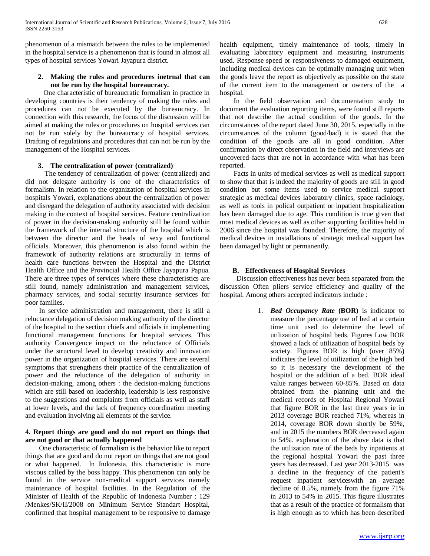phenomenon of a mismatch between the rules to be implemented in the hospital service is a phenomenon that is found in almost all types of hospital services Yowari Jayapura district.

# **2. Making the rules and procedures inetrnal that can not be run by the hospital bureaucracy.**

 One characteristic of bureaucratic formalism in practice in developing countries is their tendency of making the rules and procedures can not be executed by the bureaucracy. In connection with this research, the focus of the discussion will be aimed at making the rules or procedures on hospital services can not be run solely by the bureaucracy of hospital services. Drafting of regulations and procedures that can not be run by the management of the Hospital services.

# **3. The centralization of power (centralized)**

 The tendency of centralization of power (centralized) and did not delegate authority is one of the characteristics of formalism. In relation to the organization of hospital services in hospitals Yowari, explanations about the centralization of power and disregard the delegation of authority associated with decision making in the context of hospital services. Feature centralization of power in the decision-making authority still be found within the framework of the internal structure of the hospital which is between the director and the heads of sexy and functional officials. Moreover, this phenomenon is also found within the framework of authority relations are structurally in terms of health care functions between the Hospital and the District Health Office and the Provincial Health Office Jayapura Papua. There are three types of services where these characteristics are still found, namely administration and management services, pharmacy services, and social security insurance services for poor families.

 In service administration and management, there is still a reluctance delegation of decision making authority of the director of the hospital to the section chiefs and officials in implementing functional management functions for hospital services. This authority Convergence impact on the reluctance of Officials under the structural level to develop creativity and innovation power in the organization of hospital services. There are several symptoms that strengthens their practice of the centralization of power and the reluctance of the delegation of authority in decision-making, among others : the decision-making functions which are still based on leadership, leadership is less responsive to the suggestions and complaints from officials as well as staff at lower levels, and the lack of frequency coordination meeting and evaluation involving all elements of the service.

# **4. Report things are good and do not report on things that are not good or that actually happened**

 One characteristic of formalism is the behavior like to report things that are good and do not report on things that are not good or what happened. In Indonesia, this characteristic is more viscous called by the boss happy. This phenomenon can only be found in the service non-medical support services namely maintenance of hospital facilities. In the Regulation of the Minister of Health of the Republic of Indonesia Number : 129 /Menkes/SK/II/2008 on Minimum Service Standart Hospital, confirmed that hospital management to be responsive to damage

health equipment, timely maintenance of tools, timely in evaluating laboratory equipment and measuring instruments used. Response speed or responsiveness to damaged equipment, including medical devices can be optimally managing unit when the goods leave the report as objectively as possible on the state of the current item to the management or owners of the a hospital.

 In the field observation and documentation study to document the evaluation reporting items, were found still reports that not describe the actual condition of the goods. In the circumstances of the report dated June 30, 2015, especially in the circumstances of the column (good/bad) it is stated that the condition of the goods are all in good condition. After confirmation by direct observation in the field and interviews are uncovered facts that are not in accordance with what has been reported.

 Facts in units of medical services as well as medical support to show that that is indeed the majority of goods are still in good condition but some items used to service medical support strategic as medical devices laboratory clinics, space radiology, as well as tools in polical outpatient or inpatient hospitalization has been damaged due to age. This condition is true given that most medical devices as well as other supporting facilities held in 2006 since the hospital was founded. Therefore, the majority of medical devices in installations of strategic medical support has been damaged by light or permanently.

# **B. Effectiveness of Hospital Services**

 Discussion effectiveness has never been separated from the discussion Often pliers service efficiency and quality of the hospital. Among others accepted indicators include :

> 1. *Bed Occupancy Rate* **(BOR)** is indicator to measure the percentage use of bed at a certain time unit used to determine the level of utilization of hospital beds. Figures Low BOR showed a lack of utilization of hospital beds by society. Figures BOR is high (over 85%) indicates the level of utilization of the high bed so it is necessary the development of the hospital or the addition of a bed. BOR ideal value ranges between 60-85%. Based on data obtained from the planning unit and the medical records of Hospital Regional Yowari that figure BOR in the last three years ie in 2013 coverage BOR reached 71%, whereas in 2014, coverage BOR down shortly be 59%, and in 2015 the numbers BOR decreased again to 54%. explanation of the above data is that the utilization rate of the beds by inpatients at the regional hospital Yowari the past three years has decreased. Last year 2013-2015 was a decline in the frequency of the patient's request inpatient serviceswith an average decline of 8.5%, namely from the figure 71% in 2013 to 54% in 2015. This figure illustrates that as a result of the practice of formalism that is high enough as to which has been described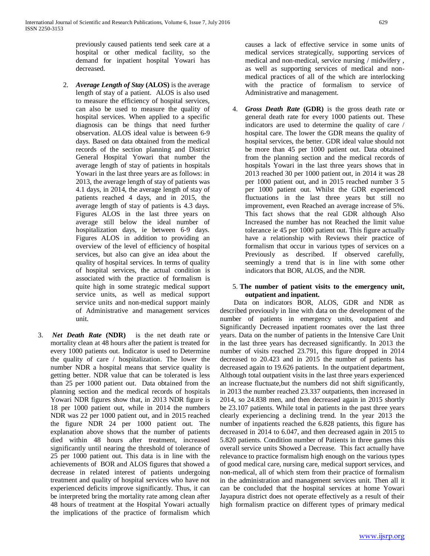previously caused patients tend seek care at a hospital or other medical facility, so the demand for inpatient hospital Yowari has decreased.

- 2. *Average Length of Stay* **(ALOS)** is the average length of stay of a patient. ALOS is also used to measure the efficiency of hospital services, can also be used to measure the quality of hospital services. When applied to a specific diagnosis can be things that need further observation. ALOS ideal value is between 6-9 days. Based on data obtained from the medical records of the section planning and District General Hospital Yowari that number the average length of stay of patients in hospitals Yowari in the last three years are as follows: in 2013, the average length of stay of patients was 4.1 days, in 2014, the average length of stay of patients reached 4 days, and in 2015, the average length of stay of patients is 4.3 days. Figures ALOS in the last three years on average still below the ideal number of hospitalization days, ie between 6-9 days. Figures ALOS in addition to providing an overview of the level of efficiency of hospital services, but also can give an idea about the quality of hospital services. In terms of quality of hospital services, the actual condition is associated with the practice of formalism is quite high in some strategic medical support service units, as well as medical support service units and non-medical support mainly of Administrative and management services unit.
- 3. *Net Death Rate* **(NDR)** is the net death rate or mortality clean at 48 hours after the patient is treated for every 1000 patients out. Indicator is used to Determine the quality of care / hospitalization. The lower the number NDR a hospital means that service quality is getting better. NDR value that can be tolerated is less than 25 per 1000 patient out. Data obtained from the planning section and the medical records of hospitals Yowari NDR figures show that, in 2013 NDR figure is 18 per 1000 patient out, while in 2014 the numbers NDR was 22 per 1000 patient out, and in 2015 reached the figure NDR 24 per 1000 patient out. The explanation above shows that the number of patients died within 48 hours after treatment, increased significantly until nearing the threshold of tolerance of 25 per 1000 patient out. This data is in line with the achievements of BOR and ALOS figures that showed a decrease in related interest of patients undergoing treatment and quality of hospital services who have not experienced deficits improve significantly. Thus, it can be interpreted bring the mortality rate among clean after 48 hours of treatment at the Hospital Yowari actually the implications of the practice of formalism which

causes a lack of effective service in some units of medical services strategically, supporting services of medical and non-medical, service nursing / midwifery , as well as supporting services of medical and nonmedical practices of all of the which are interlocking with the practice of formalism to service of Administrative and management.

4. *Gross Death Rate* **(GDR)** is the gross death rate or general death rate for every 1000 patients out. These indicators are used to determine the quality of care / hospital care. The lower the GDR means the quality of hospital services, the better. GDR ideal value should not be more than 45 per 1000 patient out. Data obtained from the planning section and the medical records of hospitals Yowari in the last three years shows that in 2013 reached 30 per 1000 patient out, in 2014 it was 28 per 1000 patient out, and in 2015 reached number 3 5 per 1000 patient out. Whilst the GDR experienced fluctuations in the last three years but still no improvement, even Reached an average increase of 5%. This fact shows that the real GDR although Also Increased the number has not Reached the limit value tolerance ie 45 per 1000 patient out. This figure actually have a relationship with Reviews their practice of formalism that occur in various types of services on a Previously as described. If observed carefully, seemingly a trend that is in line with some other indicators that BOR, ALOS, and the NDR.

#### 5. **The number of patient visits to the emergency unit, outpatient and inpatient.**

 Data on indicators BOR, ALOS, GDR and NDR as described previously in line with data on the development of the number of patients in emergency units, outpatient and Significantly Decreased inpatient roomates over the last three years. Data on the number of patients in the Intensive Care Unit in the last three years has decreased significantly. In 2013 the number of visits reached 23.791, this figure dropped in 2014 decreased to 20.423 and in 2015 the number of patients has decreased again to 19.626 patients. In the outpatient department, Although total outpatient visits in the last three years experienced an increase fluctuate,but the numbers did not shift significantly, in 2013 the number reached 23.337 outpatients, then increased in 2014, so 24.838 men, and then decreased again in 2015 shortly be 23.107 patients. While total in patients in the past three years clearly experiencing a declining trend. In the year 2013 the number of inpatients reached the 6.828 patients, this figure has decreased in 2014 to 6.047, and then decreased again in 2015 to 5.820 patients. Condition number of Patients in three games this overall service units Showed a Decrease. This fact actually have relevance to practice formalism high enough on the various types of good medical care, nursing care, medical support services, and non-medical, all of which stem from their practice of formalism in the administration and management services unit. Then all it can be concluded that the hospital services at home Yowari Jayapura district does not operate effectively as a result of their high formalism practice on different types of primary medical